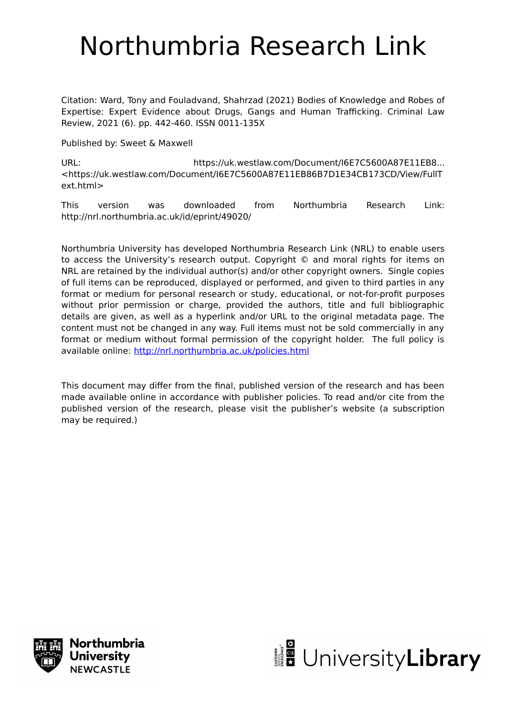# Northumbria Research Link

Citation: Ward, Tony and Fouladvand, Shahrzad (2021) Bodies of Knowledge and Robes of Expertise: Expert Evidence about Drugs, Gangs and Human Trafficking. Criminal Law Review, 2021 (6). pp. 442-460. ISSN 0011-135X

Published by: Sweet & Maxwell

URL: https://uk.westlaw.com/Document/I6E7C5600A87E11EB8... <https://uk.westlaw.com/Document/I6E7C5600A87E11EB86B7D1E34CB173CD/View/FullT ext.html>

This version was downloaded from Northumbria Research Link: http://nrl.northumbria.ac.uk/id/eprint/49020/

Northumbria University has developed Northumbria Research Link (NRL) to enable users to access the University's research output. Copyright © and moral rights for items on NRL are retained by the individual author(s) and/or other copyright owners. Single copies of full items can be reproduced, displayed or performed, and given to third parties in any format or medium for personal research or study, educational, or not-for-profit purposes without prior permission or charge, provided the authors, title and full bibliographic details are given, as well as a hyperlink and/or URL to the original metadata page. The content must not be changed in any way. Full items must not be sold commercially in any format or medium without formal permission of the copyright holder. The full policy is available online:<http://nrl.northumbria.ac.uk/policies.html>

This document may differ from the final, published version of the research and has been made available online in accordance with publisher policies. To read and/or cite from the published version of the research, please visit the publisher's website (a subscription may be required.)



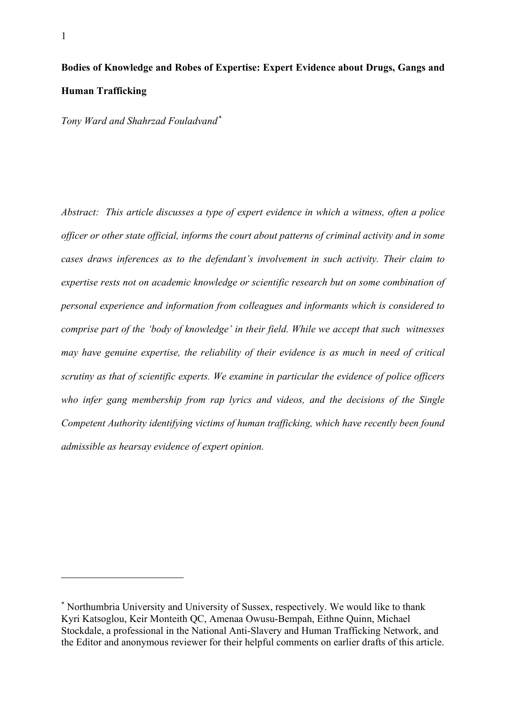# **Bodies of Knowledge and Robes of Expertise: Expert Evidence about Drugs, Gangs and Human Trafficking**

*Tony Ward and Shahrzad Fouladvand[\\*](#page-1-0)*

*Abstract: This article discusses a type of expert evidence in which a witness, often a police officer or other state official, informs the court about patterns of criminal activity and in some cases draws inferences as to the defendant's involvement in such activity. Their claim to expertise rests not on academic knowledge or scientific research but on some combination of personal experience and information from colleagues and informants which is considered to comprise part of the 'body of knowledge' in their field. While we accept that such witnesses may have genuine expertise, the reliability of their evidence is as much in need of critical scrutiny as that of scientific experts. We examine in particular the evidence of police officers who infer gang membership from rap lyrics and videos, and the decisions of the Single Competent Authority identifying victims of human trafficking, which have recently been found admissible as hearsay evidence of expert opinion.*

<span id="page-1-0"></span><sup>\*</sup> Northumbria University and University of Sussex, respectively. We would like to thank Kyri Katsoglou, Keir Monteith QC, Amenaa Owusu-Bempah, Eithne Quinn, Michael Stockdale, a professional in the National Anti-Slavery and Human Trafficking Network, and the Editor and anonymous reviewer for their helpful comments on earlier drafts of this article.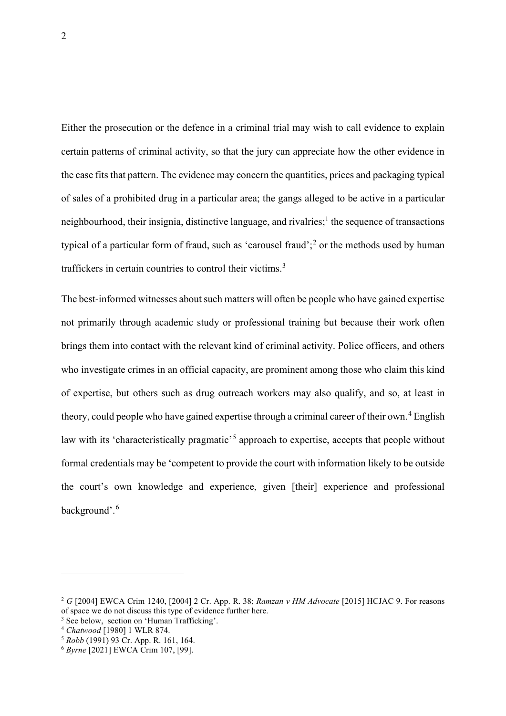Either the prosecution or the defence in a criminal trial may wish to call evidence to explain certain patterns of criminal activity, so that the jury can appreciate how the other evidence in the case fits that pattern. The evidence may concern the quantities, prices and packaging typical of sales of a prohibited drug in a particular area; the gangs alleged to be active in a particular neighbourhood, their insignia, distinctive language, and rivalries;<sup>1</sup> the sequence of transactions typical of a particular form of fraud, such as 'carousel fraud';<sup>[2](#page-2-0)</sup> or the methods used by human traffickers in certain countries to control their victims.<sup>[3](#page-2-1)</sup>

The best-informed witnesses about such matters will often be people who have gained expertise not primarily through academic study or professional training but because their work often brings them into contact with the relevant kind of criminal activity. Police officers, and others who investigate crimes in an official capacity, are prominent among those who claim this kind of expertise, but others such as drug outreach workers may also qualify, and so, at least in theory, could people who have gained expertise through a criminal career of their own.<sup>[4](#page-2-2)</sup> English law with its 'characteristically pragmatic'<sup>[5](#page-2-3)</sup> approach to expertise, accepts that people without formal credentials may be 'competent to provide the court with information likely to be outside the court's own knowledge and experience, given [their] experience and professional background'.[6](#page-2-4)

<span id="page-2-0"></span><sup>2</sup> *G* [2004] EWCA Crim 1240, [2004] 2 Cr. App. R. 38; *Ramzan v HM Advocate* [2015] HCJAC 9. For reasons of space we do not discuss this type of evidence further here.

<span id="page-2-1"></span><sup>&</sup>lt;sup>3</sup> See below, section on 'Human Trafficking'.

<span id="page-2-2"></span><sup>4</sup> *Chatwood* [1980] 1 WLR 874.

<span id="page-2-3"></span><sup>5</sup> *Robb* (1991) 93 Cr. App. R. 161, 164.

<span id="page-2-4"></span><sup>6</sup> *Byrne* [2021] EWCA Crim 107, [99].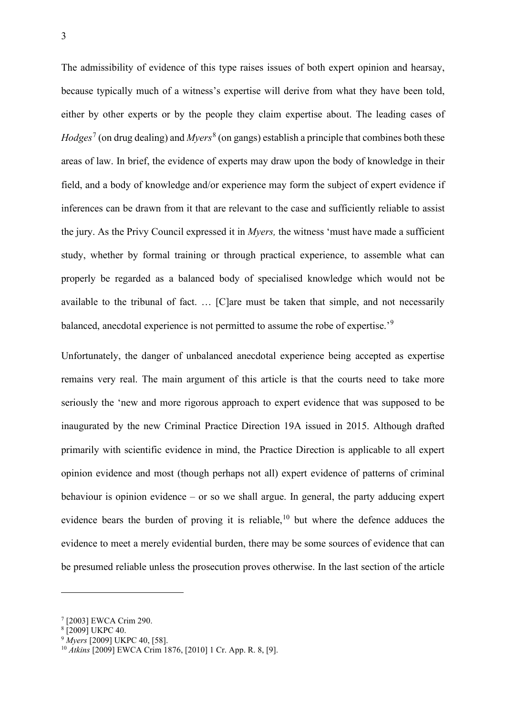The admissibility of evidence of this type raises issues of both expert opinion and hearsay, because typically much of a witness's expertise will derive from what they have been told, either by other experts or by the people they claim expertise about. The leading cases of *Hodges<sup>[7](#page-3-0)</sup>* (on drug dealing) and *Myers*<sup>[8](#page-3-1)</sup> (on gangs) establish a principle that combines both these areas of law. In brief, the evidence of experts may draw upon the body of knowledge in their field, and a body of knowledge and/or experience may form the subject of expert evidence if inferences can be drawn from it that are relevant to the case and sufficiently reliable to assist the jury. As the Privy Council expressed it in *Myers,* the witness 'must have made a sufficient study, whether by formal training or through practical experience, to assemble what can properly be regarded as a balanced body of specialised knowledge which would not be available to the tribunal of fact. … [C]are must be taken that simple, and not necessarily balanced, anecdotal experience is not permitted to assume the robe of expertise.'<sup>[9](#page-3-2)</sup>

Unfortunately, the danger of unbalanced anecdotal experience being accepted as expertise remains very real. The main argument of this article is that the courts need to take more seriously the 'new and more rigorous approach to expert evidence that was supposed to be inaugurated by the new Criminal Practice Direction 19A issued in 2015. Although drafted primarily with scientific evidence in mind, the Practice Direction is applicable to all expert opinion evidence and most (though perhaps not all) expert evidence of patterns of criminal behaviour is opinion evidence – or so we shall argue. In general, the party adducing expert evidence bears the burden of proving it is reliable,<sup>[10](#page-3-3)</sup> but where the defence adduces the evidence to meet a merely evidential burden, there may be some sources of evidence that can be presumed reliable unless the prosecution proves otherwise. In the last section of the article

<span id="page-3-0"></span><sup>7</sup> [2003] EWCA Crim 290.

<span id="page-3-1"></span><sup>8</sup> [2009] UKPC 40.

<span id="page-3-2"></span><sup>9</sup> *Myers* [2009] UKPC 40, [58].

<span id="page-3-3"></span><sup>10</sup> *Atkins* [2009] EWCA Crim 1876, [2010] 1 Cr. App. R. 8, [9].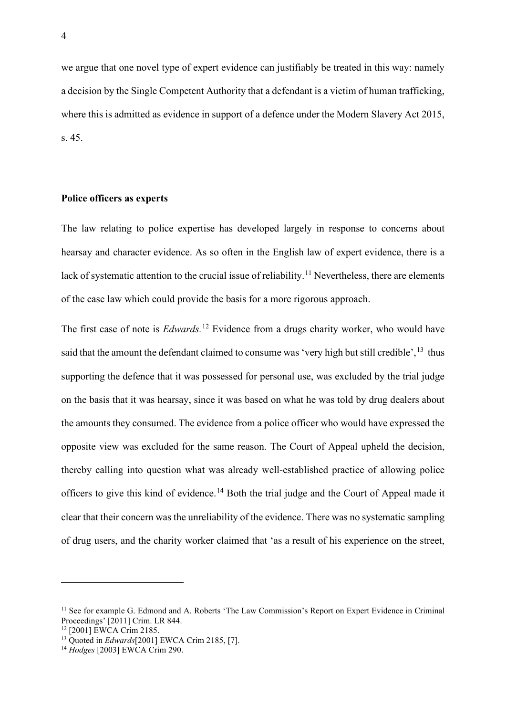we argue that one novel type of expert evidence can justifiably be treated in this way: namely a decision by the Single Competent Authority that a defendant is a victim of human trafficking, where this is admitted as evidence in support of a defence under the Modern Slavery Act 2015, s. 45.

#### **Police officers as experts**

The law relating to police expertise has developed largely in response to concerns about hearsay and character evidence. As so often in the English law of expert evidence, there is a lack of systematic attention to the crucial issue of reliability.<sup>[11](#page-4-0)</sup> Nevertheless, there are elements of the case law which could provide the basis for a more rigorous approach.

The first case of note is *Edwards.* [12](#page-4-1) Evidence from a drugs charity worker, who would have said that the amount the defendant claimed to consume was 'very high but still credible',  $13$  thus supporting the defence that it was possessed for personal use, was excluded by the trial judge on the basis that it was hearsay, since it was based on what he was told by drug dealers about the amounts they consumed. The evidence from a police officer who would have expressed the opposite view was excluded for the same reason. The Court of Appeal upheld the decision, thereby calling into question what was already well-established practice of allowing police officers to give this kind of evidence.[14](#page-4-3) Both the trial judge and the Court of Appeal made it clear that their concern was the unreliability of the evidence. There was no systematic sampling of drug users, and the charity worker claimed that 'as a result of his experience on the street,

<span id="page-4-0"></span><sup>&</sup>lt;sup>11</sup> See for example G. Edmond and A. Roberts 'The Law Commission's Report on Expert Evidence in Criminal Proceedings' [2011] Crim. LR 844.

<span id="page-4-1"></span><sup>&</sup>lt;sup>12</sup> [2001] EWCA Crim 2185.

<span id="page-4-2"></span><sup>13</sup> Quoted in *Edwards*[2001] EWCA Crim 2185, [7].

<span id="page-4-3"></span><sup>14</sup> *Hodges* [2003] EWCA Crim 290.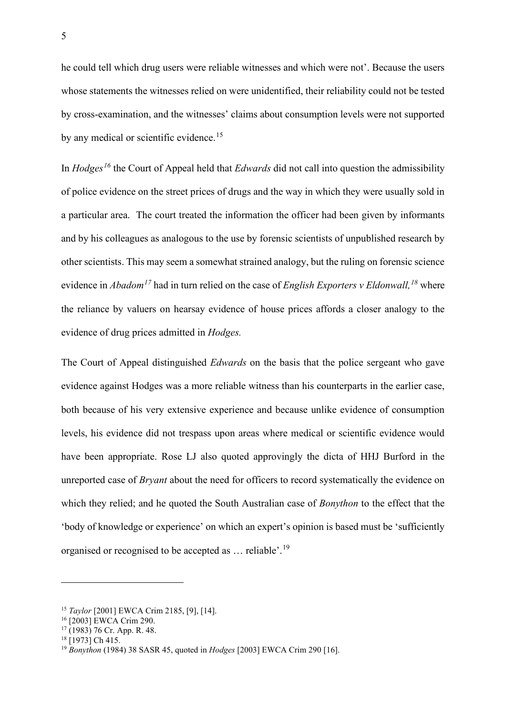he could tell which drug users were reliable witnesses and which were not'. Because the users whose statements the witnesses relied on were unidentified, their reliability could not be tested by cross-examination, and the witnesses' claims about consumption levels were not supported by any medical or scientific evidence.<sup>[15](#page-5-0)</sup>

In *Hodges[16](#page-5-1)* the Court of Appeal held that *Edwards* did not call into question the admissibility of police evidence on the street prices of drugs and the way in which they were usually sold in a particular area. The court treated the information the officer had been given by informants and by his colleagues as analogous to the use by forensic scientists of unpublished research by other scientists. This may seem a somewhat strained analogy, but the ruling on forensic science evidence in *Abadom[17](#page-5-2)* had in turn relied on the case of *English Exporters v Eldonwall,[18](#page-5-3)* where the reliance by valuers on hearsay evidence of house prices affords a closer analogy to the evidence of drug prices admitted in *Hodges.* 

The Court of Appeal distinguished *Edwards* on the basis that the police sergeant who gave evidence against Hodges was a more reliable witness than his counterparts in the earlier case, both because of his very extensive experience and because unlike evidence of consumption levels, his evidence did not trespass upon areas where medical or scientific evidence would have been appropriate. Rose LJ also quoted approvingly the dicta of HHJ Burford in the unreported case of *Bryant* about the need for officers to record systematically the evidence on which they relied; and he quoted the South Australian case of *Bonython* to the effect that the 'body of knowledge or experience' on which an expert's opinion is based must be 'sufficiently organised or recognised to be accepted as … reliable'.[19](#page-5-4)

<span id="page-5-0"></span><sup>15</sup> *Taylor* [2001] EWCA Crim 2185, [9], [14].

<span id="page-5-1"></span><sup>16</sup> [2003] EWCA Crim 290.

<span id="page-5-2"></span> $17(1983)$  76 Cr. App. R. 48.

<span id="page-5-3"></span><sup>&</sup>lt;sup>18</sup> [1973] Ch 415.

<span id="page-5-4"></span><sup>19</sup> *Bonython* (1984) 38 SASR 45, quoted in *Hodges* [2003] EWCA Crim 290 [16].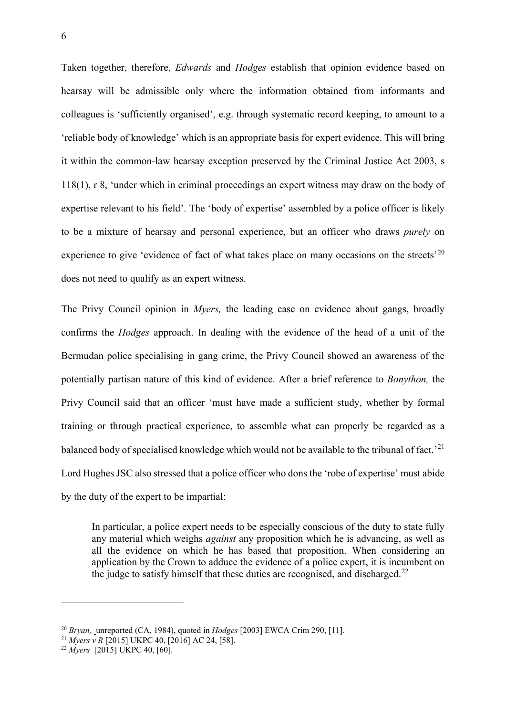Taken together, therefore, *Edwards* and *Hodges* establish that opinion evidence based on hearsay will be admissible only where the information obtained from informants and colleagues is 'sufficiently organised', e.g. through systematic record keeping, to amount to a 'reliable body of knowledge' which is an appropriate basis for expert evidence. This will bring it within the common-law hearsay exception preserved by the Criminal Justice Act 2003, s 118(1), r 8, 'under which in criminal proceedings an expert witness may draw on the body of expertise relevant to his field'. The 'body of expertise' assembled by a police officer is likely to be a mixture of hearsay and personal experience, but an officer who draws *purely* on experience to give 'evidence of fact of what takes place on many occasions on the streets'<sup>[20](#page-6-0)</sup> does not need to qualify as an expert witness.

The Privy Council opinion in *Myers,* the leading case on evidence about gangs, broadly confirms the *Hodges* approach. In dealing with the evidence of the head of a unit of the Bermudan police specialising in gang crime, the Privy Council showed an awareness of the potentially partisan nature of this kind of evidence. After a brief reference to *Bonython,* the Privy Council said that an officer 'must have made a sufficient study, whether by formal training or through practical experience, to assemble what can properly be regarded as a balanced body of specialised knowledge which would not be available to the tribunal of fact.<sup>[21](#page-6-1)</sup> Lord Hughes JSC also stressed that a police officer who dons the 'robe of expertise' must abide by the duty of the expert to be impartial:

In particular, a police expert needs to be especially conscious of the duty to state fully any material which weighs *against* any proposition which he is advancing, as well as all the evidence on which he has based that proposition. When considering an application by the Crown to adduce the evidence of a police expert, it is incumbent on the judge to satisfy himself that these duties are recognised, and discharged.<sup>[22](#page-6-2)</sup>

<span id="page-6-0"></span><sup>20</sup> *Bryan,* unreported (CA, 1984), quoted in *Hodges* [2003] EWCA Crim 290, [11].

<span id="page-6-1"></span><sup>21</sup> *Myers v R* [2015] UKPC 40, [2016] AC 24, [58]. 22 *Myers* [2015] UKPC 40, [60].

<span id="page-6-2"></span>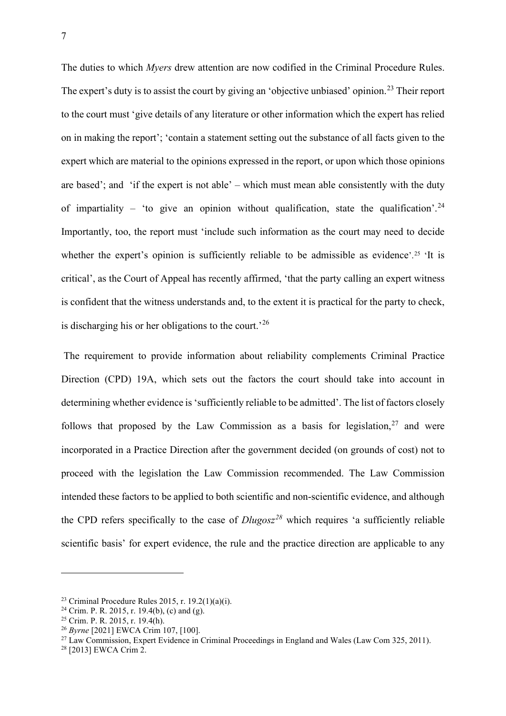The duties to which *Myers* drew attention are now codified in the Criminal Procedure Rules. The expert's duty is to assist the court by giving an 'objective unbiased' opinion.<sup>[23](#page-7-0)</sup> Their report to the court must 'give details of any literature or other information which the expert has relied on in making the report'; 'contain a statement setting out the substance of all facts given to the expert which are material to the opinions expressed in the report, or upon which those opinions are based'; and 'if the expert is not able' – which must mean able consistently with the duty of impartiality – 'to give an opinion without qualification, state the qualification'.<sup>[24](#page-7-1)</sup> Importantly, too, the report must 'include such information as the court may need to decide whether the expert's opinion is sufficiently reliable to be admissible as evidence'.<sup>[25](#page-7-2)</sup> 'It is critical', as the Court of Appeal has recently affirmed, 'that the party calling an expert witness is confident that the witness understands and, to the extent it is practical for the party to check, is discharging his or her obligations to the court.<sup>[26](#page-7-3)</sup>

The requirement to provide information about reliability complements Criminal Practice Direction (CPD) 19A, which sets out the factors the court should take into account in determining whether evidence is 'sufficiently reliable to be admitted'. The list of factors closely follows that proposed by the Law Commission as a basis for legislation,  $27$  and were incorporated in a Practice Direction after the government decided (on grounds of cost) not to proceed with the legislation the Law Commission recommended. The Law Commission intended these factors to be applied to both scientific and non-scientific evidence, and although the CPD refers specifically to the case of *Dlugosz[28](#page-7-5)* which requires 'a sufficiently reliable scientific basis' for expert evidence, the rule and the practice direction are applicable to any

<span id="page-7-0"></span><sup>&</sup>lt;sup>23</sup> Criminal Procedure Rules 2015, r. 19.2(1)(a)(i).<br><sup>24</sup> Crim. P. R. 2015, r. 19.4(b), (c) and (g).

<span id="page-7-2"></span><span id="page-7-1"></span> $25$  Crim. P. R. 2015, r. 19.4(h).

<span id="page-7-3"></span><sup>26</sup> *Byrne* [2021] EWCA Crim 107, [100].

<span id="page-7-4"></span><sup>&</sup>lt;sup>27</sup> Law Commission, Expert Evidence in Criminal Proceedings in England and Wales (Law Com 325, 2011).

<span id="page-7-5"></span><sup>28</sup> [2013] EWCA Crim 2.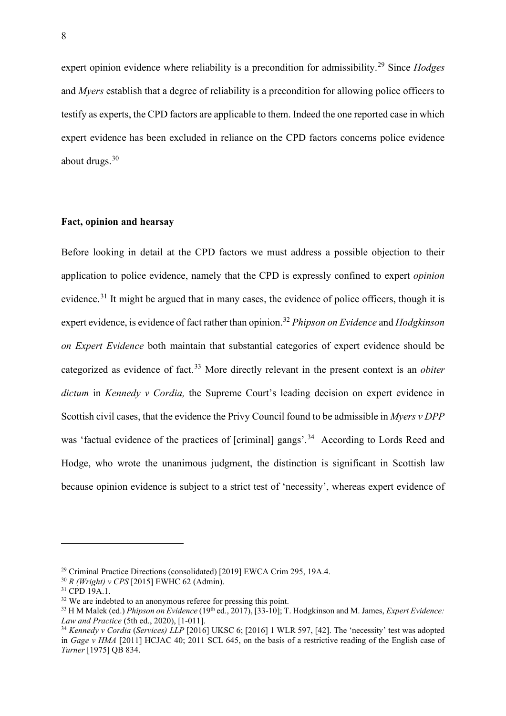expert opinion evidence where reliability is a precondition for admissibility.[29](#page-8-0) Since *Hodges*  and *Myers* establish that a degree of reliability is a precondition for allowing police officers to testify as experts, the CPD factors are applicable to them. Indeed the one reported case in which expert evidence has been excluded in reliance on the CPD factors concerns police evidence about drugs.[30](#page-8-1)

#### **Fact, opinion and hearsay**

Before looking in detail at the CPD factors we must address a possible objection to their application to police evidence, namely that the CPD is expressly confined to expert *opinion*  evidence.<sup>[31](#page-8-2)</sup> It might be argued that in many cases, the evidence of police officers, though it is expert evidence, is evidence of fact rather than opinion.[32](#page-8-3) *Phipson on Evidence* and *Hodgkinson on Expert Evidence* both maintain that substantial categories of expert evidence should be categorized as evidence of fact.[33](#page-8-4) More directly relevant in the present context is an *obiter dictum* in *Kennedy v Cordia,* the Supreme Court's leading decision on expert evidence in Scottish civil cases, that the evidence the Privy Council found to be admissible in *Myers v DPP*  was 'factual evidence of the practices of [criminal] gangs'.<sup>[34](#page-8-5)</sup> According to Lords Reed and Hodge, who wrote the unanimous judgment, the distinction is significant in Scottish law because opinion evidence is subject to a strict test of 'necessity', whereas expert evidence of

<span id="page-8-0"></span><sup>29</sup> Criminal Practice Directions (consolidated) [2019] EWCA Crim 295, 19A.4.

<span id="page-8-1"></span><sup>30</sup> *R (Wright) v CPS* [2015] EWHC 62 (Admin).

<span id="page-8-2"></span><sup>&</sup>lt;sup>31</sup> CPD 19A.1.

<span id="page-8-3"></span><sup>&</sup>lt;sup>32</sup> We are indebted to an anonymous referee for pressing this point.

<span id="page-8-4"></span><sup>&</sup>lt;sup>33</sup> H M Malek (ed.) *Phipson on Evidence* (19<sup>th</sup> ed., 2017), [33-10]; T. Hodgkinson and M. James, *Expert Evidence*: *Law and Practice* (5th ed., 2020), [1-011].

<span id="page-8-5"></span><sup>&</sup>lt;sup>34</sup> *Kennedy v Cordia* (*Services*) *LLP* [2016] UKSC 6; [2016] 1 WLR 597, [42]. The 'necessity' test was adopted in *Gage v HMA* [2011] HCJAC 40; 2011 SCL 645, on the basis of a restrictive reading of the English case of *Turner* [1975] QB 834.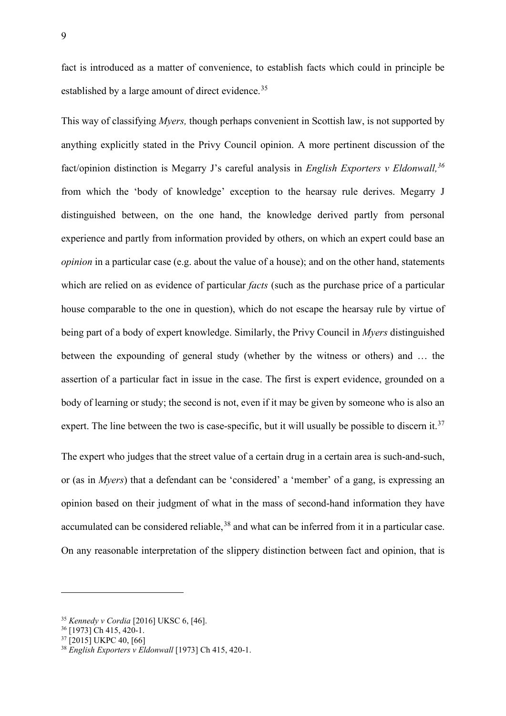fact is introduced as a matter of convenience, to establish facts which could in principle be established by a large amount of direct evidence.<sup>[35](#page-9-0)</sup>

This way of classifying *Myers,* though perhaps convenient in Scottish law, is not supported by anything explicitly stated in the Privy Council opinion. A more pertinent discussion of the fact/opinion distinction is Megarry J's careful analysis in *English Exporters v Eldonwall, [36](#page-9-1)* from which the 'body of knowledge' exception to the hearsay rule derives. Megarry J distinguished between, on the one hand, the knowledge derived partly from personal experience and partly from information provided by others, on which an expert could base an *opinion* in a particular case (e.g. about the value of a house); and on the other hand, statements which are relied on as evidence of particular *facts* (such as the purchase price of a particular house comparable to the one in question), which do not escape the hearsay rule by virtue of being part of a body of expert knowledge. Similarly, the Privy Council in *Myers* distinguished between the expounding of general study (whether by the witness or others) and … the assertion of a particular fact in issue in the case. The first is expert evidence, grounded on a body of learning or study; the second is not, even if it may be given by someone who is also an expert. The line between the two is case-specific, but it will usually be possible to discern it.<sup>[37](#page-9-2)</sup>

The expert who judges that the street value of a certain drug in a certain area is such-and-such, or (as in *Myers*) that a defendant can be 'considered' a 'member' of a gang, is expressing an opinion based on their judgment of what in the mass of second-hand information they have accumulated can be considered reliable,<sup>[38](#page-9-3)</sup> and what can be inferred from it in a particular case. On any reasonable interpretation of the slippery distinction between fact and opinion, that is

<span id="page-9-0"></span><sup>35</sup> *Kennedy v Cordia* [2016] UKSC 6, [46]. 36 [1973] Ch 415, 420-1.

<span id="page-9-1"></span>

<span id="page-9-2"></span><sup>&</sup>lt;sup>37</sup> [2015] UKPC 40, [66]

<span id="page-9-3"></span><sup>38</sup> *English Exporters v Eldonwall* [1973] Ch 415, 420-1.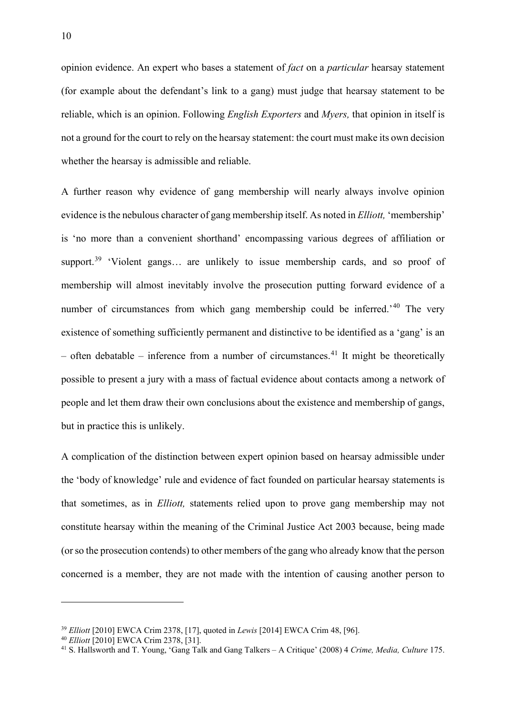opinion evidence. An expert who bases a statement of *fact* on a *particular* hearsay statement (for example about the defendant's link to a gang) must judge that hearsay statement to be reliable, which is an opinion. Following *English Exporters* and *Myers,* that opinion in itself is not a ground for the court to rely on the hearsay statement: the court must make its own decision whether the hearsay is admissible and reliable.

A further reason why evidence of gang membership will nearly always involve opinion evidence is the nebulous character of gang membership itself. As noted in *Elliott,* 'membership' is 'no more than a convenient shorthand' encompassing various degrees of affiliation or support.<sup>[39](#page-10-0)</sup> 'Violent gangs... are unlikely to issue membership cards, and so proof of membership will almost inevitably involve the prosecution putting forward evidence of a number of circumstances from which gang membership could be inferred.<sup>'[40](#page-10-1)</sup> The very existence of something sufficiently permanent and distinctive to be identified as a 'gang' is an  $-$  often debatable  $-$  inference from a number of circumstances.<sup>[41](#page-10-2)</sup> It might be theoretically possible to present a jury with a mass of factual evidence about contacts among a network of people and let them draw their own conclusions about the existence and membership of gangs, but in practice this is unlikely.

A complication of the distinction between expert opinion based on hearsay admissible under the 'body of knowledge' rule and evidence of fact founded on particular hearsay statements is that sometimes, as in *Elliott,* statements relied upon to prove gang membership may not constitute hearsay within the meaning of the Criminal Justice Act 2003 because, being made (or so the prosecution contends) to other members of the gang who already know that the person concerned is a member, they are not made with the intention of causing another person to

<span id="page-10-0"></span><sup>39</sup> *Elliott* [2010] EWCA Crim 2378, [17], quoted in *Lewis* [2014] EWCA Crim 48, [96].

<span id="page-10-1"></span><sup>40</sup> *Elliott* [2010] EWCA Crim 2378, [31].

<span id="page-10-2"></span><sup>41</sup> S. Hallsworth and T. Young, 'Gang Talk and Gang Talkers – A Critique' (2008) 4 *Crime, Media, Culture* 175.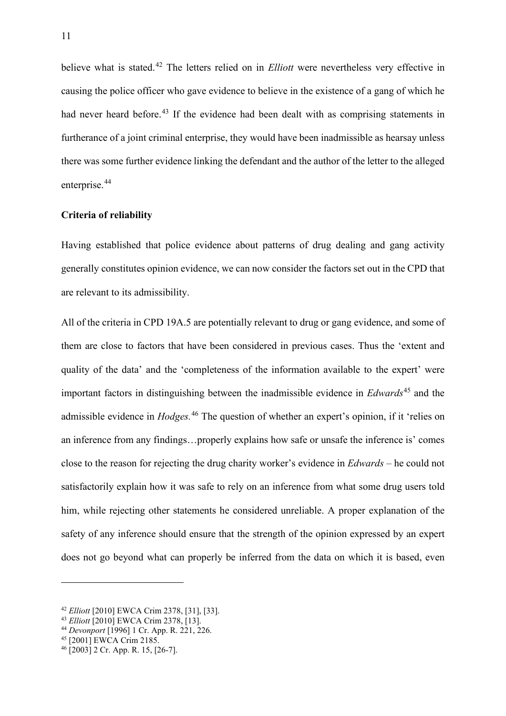believe what is stated. [42](#page-11-0) The letters relied on in *Elliott* were nevertheless very effective in causing the police officer who gave evidence to believe in the existence of a gang of which he had never heard before.<sup>[43](#page-11-1)</sup> If the evidence had been dealt with as comprising statements in furtherance of a joint criminal enterprise, they would have been inadmissible as hearsay unless there was some further evidence linking the defendant and the author of the letter to the alleged enterprise.<sup>[44](#page-11-2)</sup>

## **Criteria of reliability**

Having established that police evidence about patterns of drug dealing and gang activity generally constitutes opinion evidence, we can now consider the factors set out in the CPD that are relevant to its admissibility.

All of the criteria in CPD 19A.5 are potentially relevant to drug or gang evidence, and some of them are close to factors that have been considered in previous cases. Thus the 'extent and quality of the data' and the 'completeness of the information available to the expert' were important factors in distinguishing between the inadmissible evidence in *Edwards*[45](#page-11-3) and the admissible evidence in *Hodges.*[46](#page-11-4) The question of whether an expert's opinion, if it 'relies on an inference from any findings…properly explains how safe or unsafe the inference is' comes close to the reason for rejecting the drug charity worker's evidence in *Edwards –* he could not satisfactorily explain how it was safe to rely on an inference from what some drug users told him, while rejecting other statements he considered unreliable. A proper explanation of the safety of any inference should ensure that the strength of the opinion expressed by an expert does not go beyond what can properly be inferred from the data on which it is based, even

<span id="page-11-0"></span><sup>42</sup> *Elliott* [2010] EWCA Crim 2378, [31], [33].

<span id="page-11-1"></span><sup>43</sup> *Elliott* [2010] EWCA Crim 2378, [13].

<span id="page-11-2"></span><sup>44</sup> *Devonport* [1996] 1 Cr. App. R. 221, 226. 45 [2001] EWCA Crim 2185.

<span id="page-11-3"></span>

<span id="page-11-4"></span> $^{46}$  [2003] 2 Cr. App. R. 15, [26-7].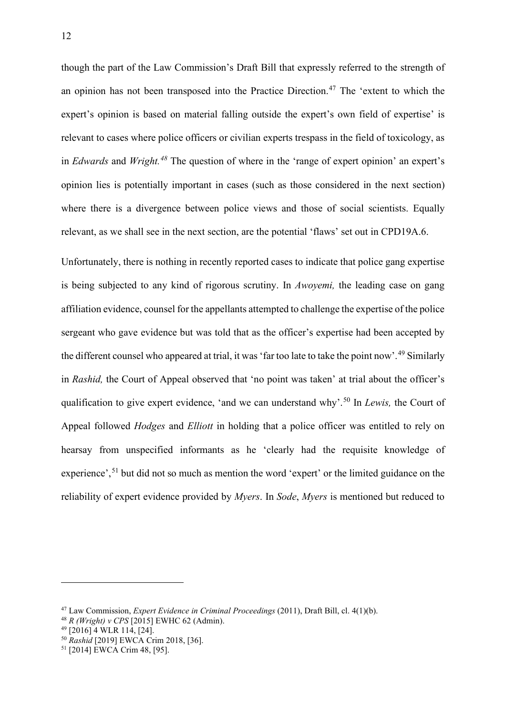though the part of the Law Commission's Draft Bill that expressly referred to the strength of an opinion has not been transposed into the Practice Direction.[47](#page-12-0) The 'extent to which the expert's opinion is based on material falling outside the expert's own field of expertise' is relevant to cases where police officers or civilian experts trespass in the field of toxicology, as in *Edwards* and *Wright.[48](#page-12-1)* The question of where in the 'range of expert opinion' an expert's opinion lies is potentially important in cases (such as those considered in the next section) where there is a divergence between police views and those of social scientists. Equally relevant, as we shall see in the next section, are the potential 'flaws' set out in CPD19A.6.

Unfortunately, there is nothing in recently reported cases to indicate that police gang expertise is being subjected to any kind of rigorous scrutiny. In *Awoyemi,* the leading case on gang affiliation evidence, counsel for the appellants attempted to challenge the expertise of the police sergeant who gave evidence but was told that as the officer's expertise had been accepted by the different counsel who appeared at trial, it was 'far too late to take the point now'.<sup>[49](#page-12-2)</sup> Similarly in *Rashid,* the Court of Appeal observed that 'no point was taken' at trial about the officer's qualification to give expert evidence, 'and we can understand why'.[50](#page-12-3) In *Lewis,* the Court of Appeal followed *Hodges* and *Elliott* in holding that a police officer was entitled to rely on hearsay from unspecified informants as he 'clearly had the requisite knowledge of experience',<sup>[51](#page-12-4)</sup> but did not so much as mention the word 'expert' or the limited guidance on the reliability of expert evidence provided by *Myers*. In *Sode*, *Myers* is mentioned but reduced to

<span id="page-12-0"></span><sup>47</sup> Law Commission, *Expert Evidence in Criminal Proceedings* (2011), Draft Bill, cl. 4(1)(b).

<span id="page-12-1"></span><sup>48</sup> *R (Wright) v CPS* [2015] EWHC 62 (Admin).

<sup>49</sup> [2016] 4 WLR 114, [24].

<span id="page-12-3"></span><span id="page-12-2"></span><sup>50</sup> *Rashid* [2019] EWCA Crim 2018, [36].

<span id="page-12-4"></span><sup>51</sup> [2014] EWCA Crim 48, [95].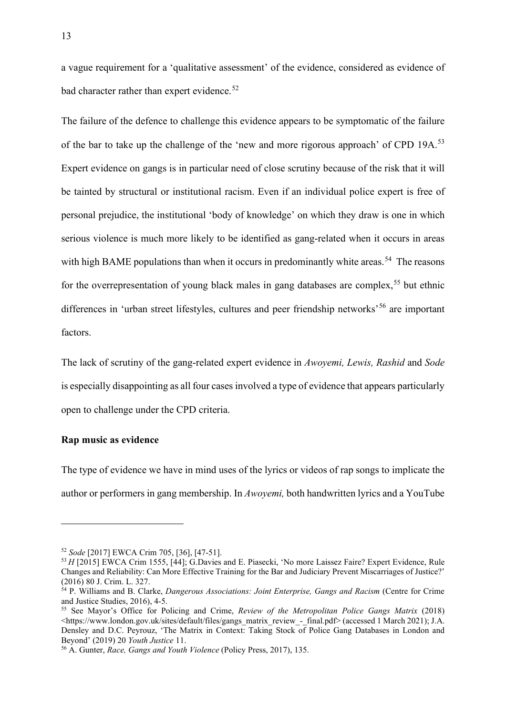a vague requirement for a 'qualitative assessment' of the evidence, considered as evidence of bad character rather than expert evidence.<sup>[52](#page-13-0)</sup>

The failure of the defence to challenge this evidence appears to be symptomatic of the failure of the bar to take up the challenge of the 'new and more rigorous approach' of CPD 19A.<sup>[53](#page-13-1)</sup> Expert evidence on gangs is in particular need of close scrutiny because of the risk that it will be tainted by structural or institutional racism. Even if an individual police expert is free of personal prejudice, the institutional 'body of knowledge' on which they draw is one in which serious violence is much more likely to be identified as gang-related when it occurs in areas with high BAME populations than when it occurs in predominantly white areas.<sup>[54](#page-13-2)</sup> The reasons for the overrepresentation of young black males in gang databases are complex,<sup>[55](#page-13-3)</sup> but ethnic differences in 'urban street lifestyles, cultures and peer friendship networks<sup>[56](#page-13-4)</sup> are important factors.

The lack of scrutiny of the gang-related expert evidence in *Awoyemi, Lewis, Rashid* and *Sode*  is especially disappointing as all four cases involved a type of evidence that appears particularly open to challenge under the CPD criteria.

#### **Rap music as evidence**

The type of evidence we have in mind uses of the lyrics or videos of rap songs to implicate the author or performers in gang membership. In *Awoyemi,* both handwritten lyrics and a YouTube

<span id="page-13-0"></span><sup>52</sup> *Sode* [2017] EWCA Crim 705, [36], [47-51].

<span id="page-13-1"></span><sup>53</sup> *H* [2015] EWCA Crim 1555, [44]; G.Davies and E. Piasecki, ['No more Laissez Faire? Expert Evidence, Rule](https://uk.westlaw.com/Document/I8C8412A09A9111E6AEB0FEA1C383C4F6/View/FullText.html?navigationPath=Search%2Fv1%2Fresults%2Fnavigation%2Fi0ad73aa6000001761f47f43c01a09fe0%3FNav%3DUK-JOURNALS%26fragmentIdentifier%3DIFBD48BB09CF511E6A0DDDC0B0A7EC8D3%26parentRank%3D0%26startIndex%3D1%26contextData%3D%2528sc.Search%2529%26transitionType%3DSearchItem&listSource=Search&listPageSource=d16e81b95c4481fbd6cd7b1238d74db3&list=UK-JOURNALS&rank=4&sessionScopeId=8d52c4472e8487153733e20e68131005a37c128694aad4467432a2400cefb7dc&originationContext=Search+Result&transitionType=SearchItem&contextData=%28sc.Search%29&comp=wluk)  [Changes and Reliability: Can More Effective Training for the Bar and Judiciary Prevent Miscarriages of Justice?'](https://uk.westlaw.com/Document/I8C8412A09A9111E6AEB0FEA1C383C4F6/View/FullText.html?navigationPath=Search%2Fv1%2Fresults%2Fnavigation%2Fi0ad73aa6000001761f47f43c01a09fe0%3FNav%3DUK-JOURNALS%26fragmentIdentifier%3DIFBD48BB09CF511E6A0DDDC0B0A7EC8D3%26parentRank%3D0%26startIndex%3D1%26contextData%3D%2528sc.Search%2529%26transitionType%3DSearchItem&listSource=Search&listPageSource=d16e81b95c4481fbd6cd7b1238d74db3&list=UK-JOURNALS&rank=4&sessionScopeId=8d52c4472e8487153733e20e68131005a37c128694aad4467432a2400cefb7dc&originationContext=Search+Result&transitionType=SearchItem&contextData=%28sc.Search%29&comp=wluk) (2016) 80 J. Crim. L. 327.

<span id="page-13-2"></span><sup>54</sup> P. Williams and B. Clarke, *Dangerous Associations: Joint Enterprise, Gangs and Racism* (Centre for Crime and Justice Studies, 2016), 4-5.

<span id="page-13-3"></span><sup>55</sup> See Mayor's Office for Policing and Crime, *Review of the Metropolitan Police Gangs Matrix* (2018) <https://www.london.gov.uk/sites/default/files/gangs\_matrix\_review\_-\_final.pdf> (accessed 1 March 2021); J.A. Densley and D.C. Peyrouz, 'The Matrix in Context: Taking Stock of Police Gang Databases in London and Beyond' (2019) 20 *Youth Justice* 11.

<span id="page-13-4"></span><sup>56</sup> A. Gunter, *Race, Gangs and Youth Violence* (Policy Press, 2017), 135.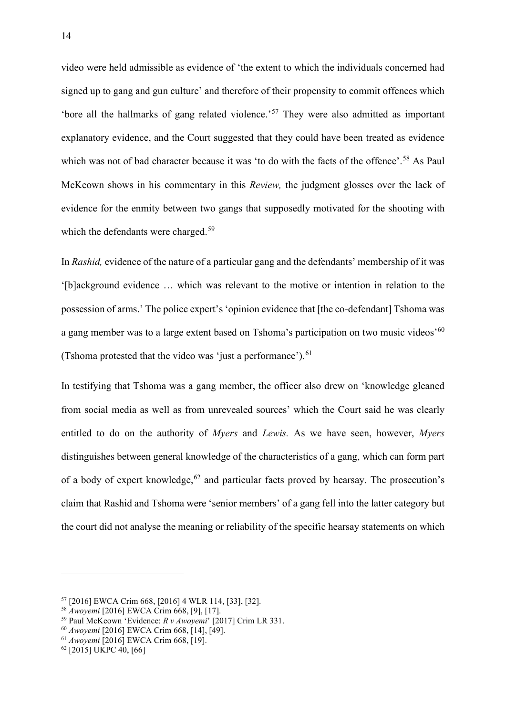video were held admissible as evidence of 'the extent to which the individuals concerned had signed up to gang and gun culture' and therefore of their propensity to commit offences which 'bore all the hallmarks of gang related violence.'[57](#page-14-0) They were also admitted as important explanatory evidence, and the Court suggested that they could have been treated as evidence which was not of bad character because it was 'to do with the facts of the offence'.<sup>[58](#page-14-1)</sup> As Paul McKeown shows in his commentary in this *Review,* the judgment glosses over the lack of evidence for the enmity between two gangs that supposedly motivated for the shooting with which the defendants were charged.<sup>[59](#page-14-2)</sup>

In *Rashid,* evidence of the nature of a particular gang and the defendants' membership of it was '[b]ackground evidence … which was relevant to the motive or intention in relation to the possession of arms.' The police expert's 'opinion evidence that [the co-defendant] Tshoma was a gang member was to a large extent based on Tshoma's participation on two music videos<sup>'[60](#page-14-3)</sup> (Tshoma protested that the video was 'just a performance').  $61$ 

In testifying that Tshoma was a gang member, the officer also drew on 'knowledge gleaned from social media as well as from unrevealed sources' which the Court said he was clearly entitled to do on the authority of *Myers* and *Lewis.* As we have seen, however, *Myers*  distinguishes between general knowledge of the characteristics of a gang, which can form part of a body of expert knowledge,  $62$  and particular facts proved by hearsay. The prosecution's claim that Rashid and Tshoma were 'senior members' of a gang fell into the latter category but the court did not analyse the meaning or reliability of the specific hearsay statements on which

<span id="page-14-0"></span><sup>57</sup> [2016] EWCA Crim 668, [2016] 4 WLR 114, [33], [32].

<sup>58</sup> *Awoyemi* [2016] EWCA Crim 668, [9], [17].

<span id="page-14-2"></span><span id="page-14-1"></span><sup>59</sup> Paul McKeown 'Evidence: *R v Awoyemi*' [2017] Crim LR 331. 60 *Awoyemi* [2016] EWCA Crim 668, [14], [49].

<span id="page-14-3"></span>

<span id="page-14-4"></span><sup>61</sup> *Awoyemi* [2016] EWCA Crim 668, [19].

<span id="page-14-5"></span><sup>62</sup> [2015] UKPC 40, [66]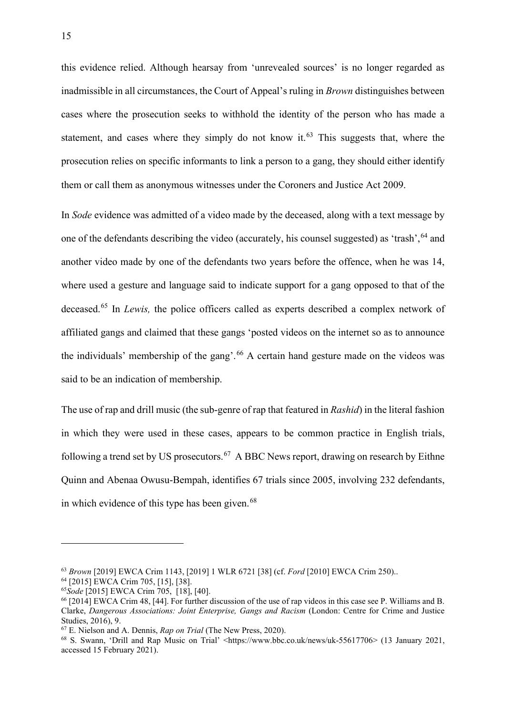this evidence relied. Although hearsay from 'unrevealed sources' is no longer regarded as inadmissible in all circumstances, the Court of Appeal's ruling in *Brown* distinguishes between cases where the prosecution seeks to withhold the identity of the person who has made a statement, and cases where they simply do not know it.<sup>[63](#page-15-0)</sup> This suggests that, where the prosecution relies on specific informants to link a person to a gang, they should either identify them or call them as anonymous witnesses under the Coroners and Justice Act 2009.

In *Sode* evidence was admitted of a video made by the deceased, along with a text message by one of the defendants describing the video (accurately, his counsel suggested) as 'trash', <sup>[64](#page-15-1)</sup> and another video made by one of the defendants two years before the offence, when he was 14, where used a gesture and language said to indicate support for a gang opposed to that of the deceased.[65](#page-15-2) In *Lewis,* the police officers called as experts described a complex network of affiliated gangs and claimed that these gangs 'posted videos on the internet so as to announce the individuals' membership of the gang'.<sup>[66](#page-15-3)</sup> A certain hand gesture made on the videos was said to be an indication of membership.

The use of rap and drill music (the sub-genre of rap that featured in *Rashid*) in the literal fashion in which they were used in these cases, appears to be common practice in English trials, following a trend set by US prosecutors.<sup>67</sup> A BBC News report, drawing on research by Eithne Quinn and Abenaa Owusu-Bempah, identifies 67 trials since 2005, involving 232 defendants, in which evidence of this type has been given. $68$ 

<span id="page-15-0"></span><sup>63</sup> *Brown* [2019] EWCA Crim 1143, [2019] 1 WLR 6721 [38] (cf. *Ford* [2010] EWCA Crim 250)..

<span id="page-15-1"></span><sup>64</sup> [2015] EWCA Crim 705, [15], [38].

<span id="page-15-2"></span><sup>65</sup>*Sode* [2015] EWCA Crim 705, [18], [40].

<span id="page-15-3"></span><sup>66</sup> [2014] EWCA Crim 48, [44]. For further discussion of the use of rap videos in this case see P. Williams and B. Clarke, *Dangerous Associations: Joint Enterprise, Gangs and Racism* (London: Centre for Crime and Justice Studies, 2016), 9.

<span id="page-15-4"></span><sup>67</sup> E. Nielson and A. Dennis, *Rap on Trial* (The New Press, 2020).

<span id="page-15-5"></span><sup>&</sup>lt;sup>68</sup> S. Swann, 'Drill and Rap Music on Trial' <https://www.bbc.co.uk/news/uk-55617706> (13 January 2021, accessed 15 February 2021).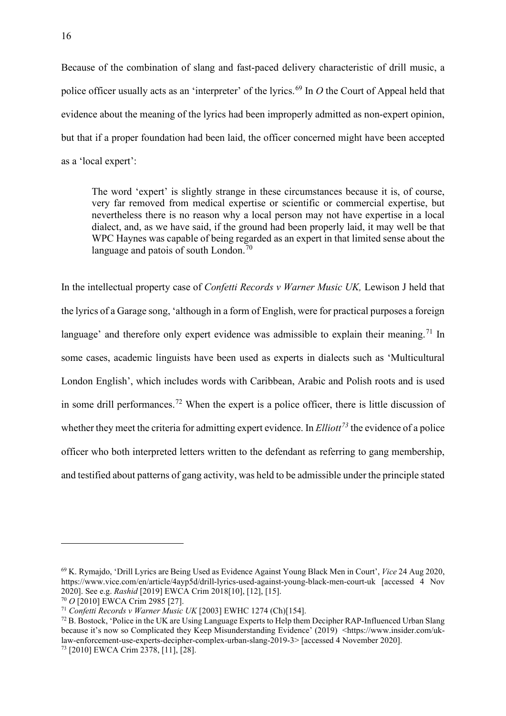Because of the combination of slang and fast-paced delivery characteristic of drill music, a police officer usually acts as an 'interpreter' of the lyrics. [69](#page-16-0) In *O* the Court of Appeal held that evidence about the meaning of the lyrics had been improperly admitted as non-expert opinion, but that if a proper foundation had been laid, the officer concerned might have been accepted as a 'local expert':

The word 'expert' is slightly strange in these circumstances because it is, of course, very far removed from medical expertise or scientific or commercial expertise, but nevertheless there is no reason why a local person may not have expertise in a local dialect, and, as we have said, if the ground had been properly laid, it may well be that WPC Haynes was capable of being regarded as an expert in that limited sense about the language and patois of south London. $70$ 

In the intellectual property case of *Confetti Records v Warner Music UK,* Lewison J held that the lyrics of a Garage song, 'although in a form of English, were for practical purposes a foreign language' and therefore only expert evidence was admissible to explain their meaning.<sup>[71](#page-16-2)</sup> In some cases, academic linguists have been used as experts in dialects such as 'Multicultural London English', which includes words with Caribbean, Arabic and Polish roots and is used in some drill performances.<sup>[72](#page-16-3)</sup> When the expert is a police officer, there is little discussion of whether they meet the criteria for admitting expert evidence. In *Elliott[73](#page-16-4)* the evidence of a police officer who both interpreted letters written to the defendant as referring to gang membership, and testified about patterns of gang activity, was held to be admissible under the principle stated

<span id="page-16-0"></span><sup>69</sup> K. Rymajdo, 'Drill Lyrics are Being Used as Evidence Against Young Black Men in Court', *Vice* 24 Aug 2020, https://www.vice.com/en/article/4ayp5d/drill-lyrics-used-against-young-black-men-court-uk [accessed 4 Nov 2020]. See e.g. *Rashid* [2019] EWCA Crim 2018[10], [12], [15].<br><sup>70</sup> O [2010] EWCA Crim 2985 [27].

<span id="page-16-1"></span>

<span id="page-16-2"></span><sup>&</sup>lt;sup>71</sup> Confetti Records v Warner Music UK [2003] EWHC 1274 (Ch)[154].

<span id="page-16-3"></span><sup>72</sup> B. Bostock, 'Police in the UK are Using Language Experts to Help them Decipher RAP-Influenced Urban Slang because it's now so Complicated they Keep Misunderstanding Evidence' (2019) <https://www.insider.com/uklaw-enforcement-use-experts-decipher-complex-urban-slang-2019-3> [accessed 4 November 2020].

<span id="page-16-4"></span><sup>73</sup> [2010] EWCA Crim 2378, [11], [28].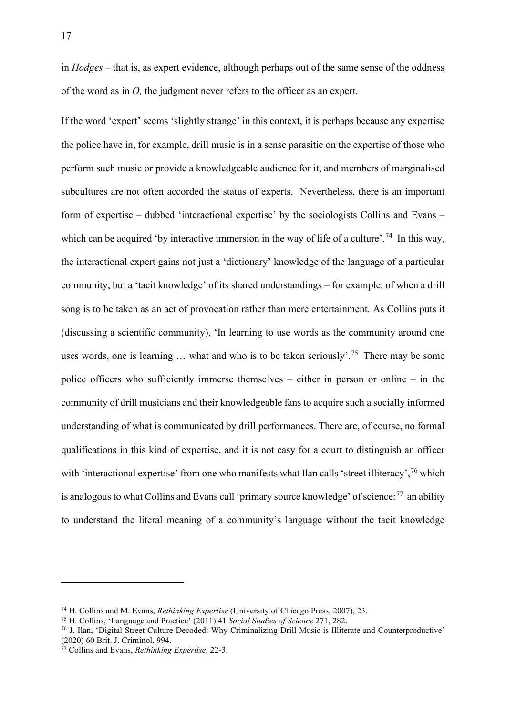in *Hodges –* that is, as expert evidence, although perhaps out of the same sense of the oddness of the word as in *O,* the judgment never refers to the officer as an expert.

If the word 'expert' seems 'slightly strange' in this context, it is perhaps because any expertise the police have in, for example, drill music is in a sense parasitic on the expertise of those who perform such music or provide a knowledgeable audience for it, and members of marginalised subcultures are not often accorded the status of experts. Nevertheless, there is an important form of expertise – dubbed 'interactional expertise' by the sociologists Collins and Evans – which can be acquired 'by interactive immersion in the way of life of a culture'.<sup>74</sup> In this way, the interactional expert gains not just a 'dictionary' knowledge of the language of a particular community, but a 'tacit knowledge' of its shared understandings – for example, of when a drill song is to be taken as an act of provocation rather than mere entertainment. As Collins puts it (discussing a scientific community), 'In learning to use words as the community around one uses words, one is learning  $\ldots$  what and who is to be taken seriously'.<sup>[75](#page-17-1)</sup> There may be some police officers who sufficiently immerse themselves – either in person or online – in the community of drill musicians and their knowledgeable fans to acquire such a socially informed understanding of what is communicated by drill performances. There are, of course, no formal qualifications in this kind of expertise, and it is not easy for a court to distinguish an officer with 'interactional expertise' from one who manifests what Ilan calls 'street illiteracy',<sup>[76](#page-17-2)</sup> which is analogous to what Collins and Evans call 'primary source knowledge' of science: $^{77}$  an ability to understand the literal meaning of a community's language without the tacit knowledge

<span id="page-17-2"></span><span id="page-17-1"></span>

<span id="page-17-0"></span><sup>&</sup>lt;sup>74</sup> H. Collins and M. Evans, *Rethinking Expertise* (University of Chicago Press, 2007), 23.<br><sup>75</sup> H. Collins, 'Language and Practice' (2011) 41 *Social Studies of Science* 271, 282.<br><sup>76</sup> J. Ilan, 'Digital Street Culture (2020) 60 Brit. J. Criminol. 994.

<span id="page-17-3"></span><sup>77</sup> Collins and Evans, *Rethinking Expertise*, 22-3.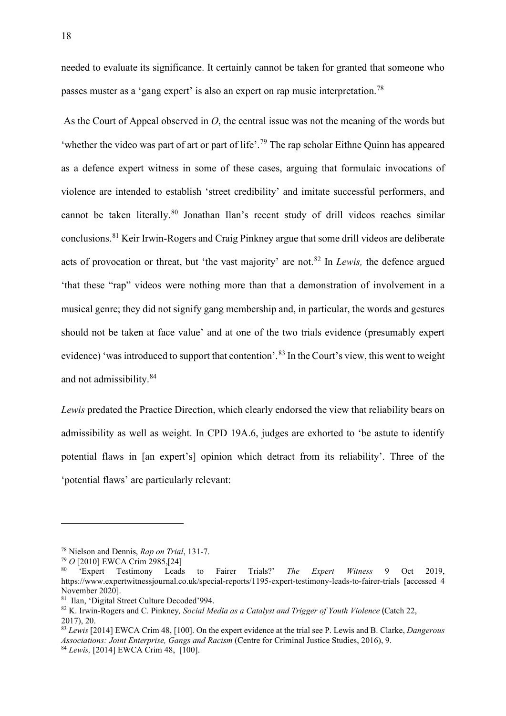needed to evaluate its significance. It certainly cannot be taken for granted that someone who passes muster as a 'gang expert' is also an expert on rap music interpretation.<sup>[78](#page-18-0)</sup>

As the Court of Appeal observed in *O*, the central issue was not the meaning of the words but 'whether the video was part of art or part of life'.[79](#page-18-1) The rap scholar Eithne Quinn has appeared as a defence expert witness in some of these cases, arguing that formulaic invocations of violence are intended to establish 'street credibility' and imitate successful performers, and cannot be taken literally.[80](#page-18-2) Jonathan Ilan's recent study of drill videos reaches similar conclusions.[81](#page-18-3) Keir Irwin-Rogers and Craig Pinkney argue that some drill videos are deliberate acts of provocation or threat, but 'the vast majority' are not.[82](#page-18-4) In *Lewis,* the defence argued 'that these "rap" videos were nothing more than that a demonstration of involvement in a musical genre; they did not signify gang membership and, in particular, the words and gestures should not be taken at face value' and at one of the two trials evidence (presumably expert evidence) 'was introduced to support that contention'.<sup>[83](#page-18-5)</sup> In the Court's view, this went to weight and not admissibility.[84](#page-18-6)

*Lewis* predated the Practice Direction, which clearly endorsed the view that reliability bears on admissibility as well as weight. In CPD 19A.6, judges are exhorted to 'be astute to identify potential flaws in [an expert's] opinion which detract from its reliability'. Three of the 'potential flaws' are particularly relevant:

<span id="page-18-0"></span><sup>78</sup> Nielson and Dennis, *Rap on Trial*, 131-7.

<span id="page-18-1"></span><sup>79</sup> *O* [2010] EWCA Crim 2985,[24]

<span id="page-18-2"></span><sup>80</sup> 'Expert Testimony Leads to Fairer Trials?' *The Expert Witness* 9 Oct 2019, https://www.expertwitnessjournal.co.uk/special-reports/1195-expert-testimony-leads-to-fairer-trials [accessed 4 November 2020].

<span id="page-18-3"></span><sup>81</sup> Ilan, 'Digital Street Culture Decoded'994.

<span id="page-18-4"></span><sup>82</sup> K. Irwin-Rogers and C. Pinkney*, Social Media as a Catalyst and Trigger of Youth Violence* (Catch 22, 2017), 20.

<span id="page-18-5"></span><sup>83</sup> *Lewis* [2014] EWCA Crim 48, [100]. On the expert evidence at the trial see P. Lewis and B. Clarke, *Dangerous Associations: Joint Enterprise, Gangs and Racism* (Centre for Criminal Justice Studies, 2016), 9.

<span id="page-18-6"></span><sup>84</sup> *Lewis,* [2014] EWCA Crim 48, [100].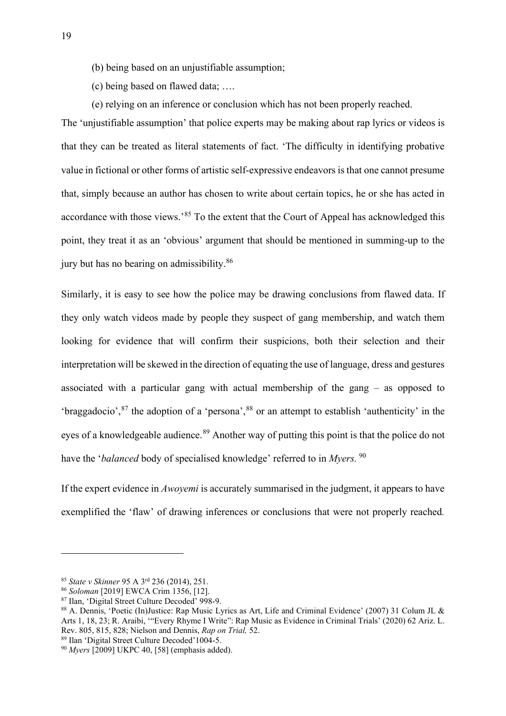- (b) being based on an unjustifiable assumption;
- (c) being based on flawed data; ….
- (e) relying on an inference or conclusion which has not been properly reached.

The 'unjustifiable assumption' that police experts may be making about rap lyrics or videos is that they can be treated as literal statements of fact. 'The difficulty in identifying probative value in fictional or other forms of artistic self-expressive endeavors is that one cannot presume that, simply because an author has chosen to write about certain topics, he or she has acted in accordance with those views.'<sup>[85](#page-19-0)</sup> To the extent that the Court of Appeal has acknowledged this point, they treat it as an 'obvious' argument that should be mentioned in summing-up to the jury but has no bearing on admissibility.[86](#page-19-1)

Similarly, it is easy to see how the police may be drawing conclusions from flawed data. If they only watch videos made by people they suspect of gang membership, and watch them looking for evidence that will confirm their suspicions, both their selection and their interpretation will be skewed in the direction of equating the use of language, dress and gestures associated with a particular gang with actual membership of the gang – as opposed to 'braggadocio',[87](#page-19-2) the adoption of a 'persona',[88](#page-19-3) or an attempt to establish 'authenticity' in the eyes of a knowledgeable audience.<sup>[89](#page-19-4)</sup> Another way of putting this point is that the police do not have the '*balanced* body of specialised knowledge' referred to in *Myers.* [90](#page-19-5)

If the expert evidence in *Awoyemi* is accurately summarised in the judgment, it appears to have exemplified the 'flaw' of drawing inferences or conclusions that were not properly reached*.* 

<span id="page-19-0"></span><sup>85</sup> *State v Skinner* 95 A 3rd 236 (2014), 251.

<span id="page-19-1"></span><sup>86</sup> *Soloman* [2019] EWCA Crim 1356, [12].

<span id="page-19-2"></span><sup>87</sup> Ilan, 'Digital Street Culture Decoded' 998-9.

<span id="page-19-3"></span><sup>88</sup> A. Dennis, 'Poetic (In)Justice: Rap Music Lyrics as Art, Life and Criminal Evidence' (2007) 31 Colum JL & Arts 1, 18, 23; R. Araibi, '"Every Rhyme I Write": Rap Music as Evidence in Criminal Trials' (2020) 62 Ariz. L. Rev. 805, 815, 828; Nielson and Dennis, *Rap on Trial,* 52.

<span id="page-19-4"></span><sup>89</sup> Ilan 'Digital Street Culture Decoded'1004-5.

<span id="page-19-5"></span><sup>90</sup> *Myers* [2009] UKPC 40, [58] (emphasis added).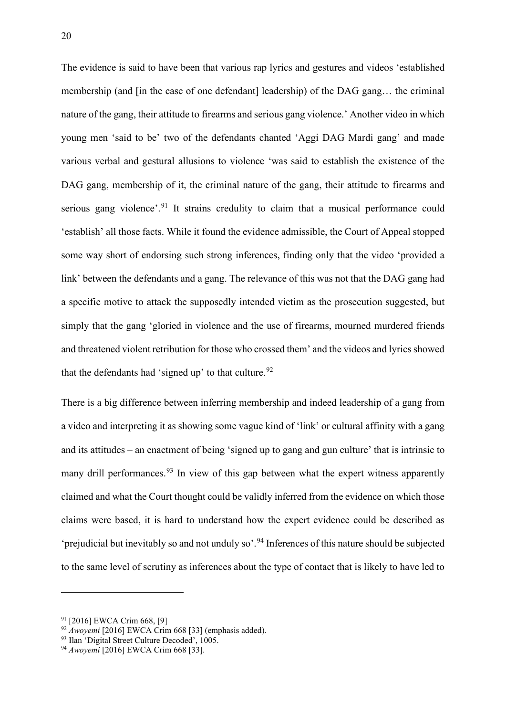The evidence is said to have been that various rap lyrics and gestures and videos 'established membership (and [in the case of one defendant] leadership) of the DAG gang... the criminal nature of the gang, their attitude to firearms and serious gang violence.' Another video in which young men 'said to be' two of the defendants chanted 'Aggi DAG Mardi gang' and made various verbal and gestural allusions to violence 'was said to establish the existence of the DAG gang, membership of it, the criminal nature of the gang, their attitude to firearms and serious gang violence'.<sup>[91](#page-20-0)</sup> It strains credulity to claim that a musical performance could 'establish' all those facts. While it found the evidence admissible, the Court of Appeal stopped some way short of endorsing such strong inferences, finding only that the video 'provided a link' between the defendants and a gang. The relevance of this was not that the DAG gang had a specific motive to attack the supposedly intended victim as the prosecution suggested, but simply that the gang 'gloried in violence and the use of firearms, mourned murdered friends and threatened violent retribution for those who crossed them' and the videos and lyrics showed that the defendants had 'signed up' to that culture.<sup>[92](#page-20-1)</sup>

There is a big difference between inferring membership and indeed leadership of a gang from a video and interpreting it as showing some vague kind of 'link' or cultural affinity with a gang and its attitudes – an enactment of being 'signed up to gang and gun culture' that is intrinsic to many drill performances.<sup>[93](#page-20-2)</sup> In view of this gap between what the expert witness apparently claimed and what the Court thought could be validly inferred from the evidence on which those claims were based, it is hard to understand how the expert evidence could be described as 'prejudicial but inevitably so and not unduly so'.<sup>[94](#page-20-3)</sup> Inferences of this nature should be subjected to the same level of scrutiny as inferences about the type of contact that is likely to have led to

<span id="page-20-0"></span><sup>91</sup> [2016] EWCA Crim 668, [9]

<span id="page-20-1"></span><sup>92</sup> *Awoyemi* [2016] EWCA Crim 668 [33] (emphasis added).

<span id="page-20-2"></span><sup>&</sup>lt;sup>93</sup> Ilan 'Digital Street Culture Decoded', 1005.

<span id="page-20-3"></span><sup>94</sup> *Awoyemi* [2016] EWCA Crim 668 [33].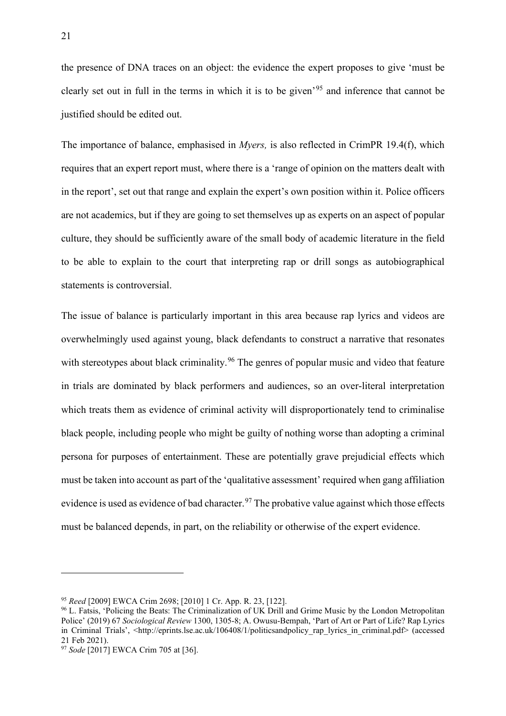the presence of DNA traces on an object: the evidence the expert proposes to give 'must be clearly set out in full in the terms in which it is to be given'[95](#page-21-0) and inference that cannot be justified should be edited out.

The importance of balance, emphasised in *Myers,* is also reflected in CrimPR 19.4(f), which requires that an expert report must, where there is a 'range of opinion on the matters dealt with in the report', set out that range and explain the expert's own position within it. Police officers are not academics, but if they are going to set themselves up as experts on an aspect of popular culture, they should be sufficiently aware of the small body of academic literature in the field to be able to explain to the court that interpreting rap or drill songs as autobiographical statements is controversial.

The issue of balance is particularly important in this area because rap lyrics and videos are overwhelmingly used against young, black defendants to construct a narrative that resonates with stereotypes about black criminality.<sup>[96](#page-21-1)</sup> The genres of popular music and video that feature in trials are dominated by black performers and audiences, so an over-literal interpretation which treats them as evidence of criminal activity will disproportionately tend to criminalise black people, including people who might be guilty of nothing worse than adopting a criminal persona for purposes of entertainment. These are potentially grave prejudicial effects which must be taken into account as part of the 'qualitative assessment' required when gang affiliation evidence is used as evidence of bad character.<sup>[97](#page-21-2)</sup> The probative value against which those effects must be balanced depends, in part, on the reliability or otherwise of the expert evidence.

<span id="page-21-0"></span><sup>95</sup> *Reed* [2009] EWCA Crim 2698; [2010] 1 Cr. App. R. 23, [122].

<span id="page-21-1"></span><sup>96</sup> L. Fatsis, 'Policing the Beats: The Criminalization of UK Drill and Grime Music by the London Metropolitan Police' (2019) 67 *Sociological Review* 1300, 1305-8; A. Owusu-Bempah, 'Part of Art or Part of Life? Rap Lyrics in Criminal Trials', <http://eprints.lse.ac.uk/106408/1/politicsandpolicy rap\_lyrics\_in\_criminal.pdf> (accessed 21 Feb 2021).

<span id="page-21-2"></span><sup>97</sup> *Sode* [2017] EWCA Crim 705 at [36].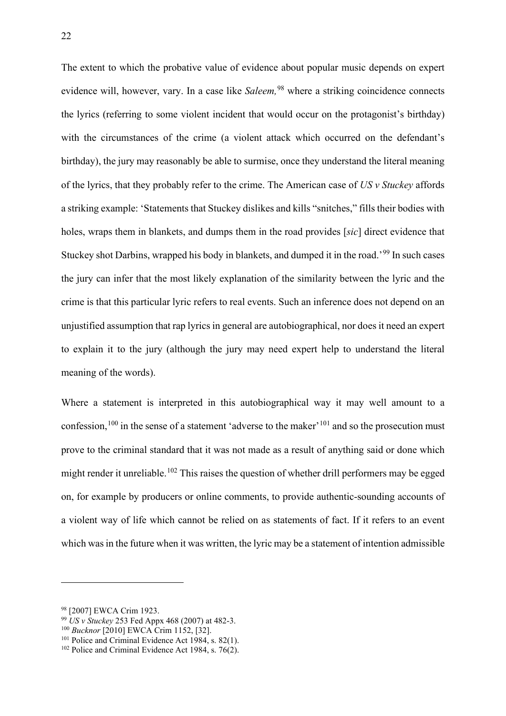The extent to which the probative value of evidence about popular music depends on expert evidence will, however, vary. In a case like *Saleem*, <sup>[98](#page-22-0)</sup> where a striking coincidence connects the lyrics (referring to some violent incident that would occur on the protagonist's birthday) with the circumstances of the crime (a violent attack which occurred on the defendant's birthday), the jury may reasonably be able to surmise, once they understand the literal meaning of the lyrics, that they probably refer to the crime. The American case of *US v Stuckey* affords a striking example: 'Statements that Stuckey dislikes and kills "snitches," fills their bodies with holes, wraps them in blankets, and dumps them in the road provides [*sic*] direct evidence that Stuckey shot Darbins, wrapped his body in blankets, and dumped it in the road.'[99](#page-22-1) In such cases the jury can infer that the most likely explanation of the similarity between the lyric and the crime is that this particular lyric refers to real events. Such an inference does not depend on an unjustified assumption that rap lyrics in general are autobiographical, nor does it need an expert to explain it to the jury (although the jury may need expert help to understand the literal meaning of the words).

Where a statement is interpreted in this autobiographical way it may well amount to a confession,  $100$  in the sense of a statement 'adverse to the maker'  $101$  and so the prosecution must prove to the criminal standard that it was not made as a result of anything said or done which might render it unreliable.<sup>[102](#page-22-4)</sup> This raises the question of whether drill performers may be egged on, for example by producers or online comments, to provide authentic-sounding accounts of a violent way of life which cannot be relied on as statements of fact. If it refers to an event which was in the future when it was written, the lyric may be a statement of intention admissible

<span id="page-22-1"></span><sup>99</sup> *US v Stuckey* 253 Fed Appx 468 (2007) at 482-3.

<span id="page-22-0"></span><sup>98</sup> [2007] EWCA Crim 1923.

<span id="page-22-2"></span><sup>100</sup> *Bucknor* [2010] EWCA Crim 1152, [32].

<span id="page-22-3"></span> $101$  Police and Criminal Evidence Act 1984, s. 82(1).

<span id="page-22-4"></span> $102$  Police and Criminal Evidence Act 1984, s. 76(2).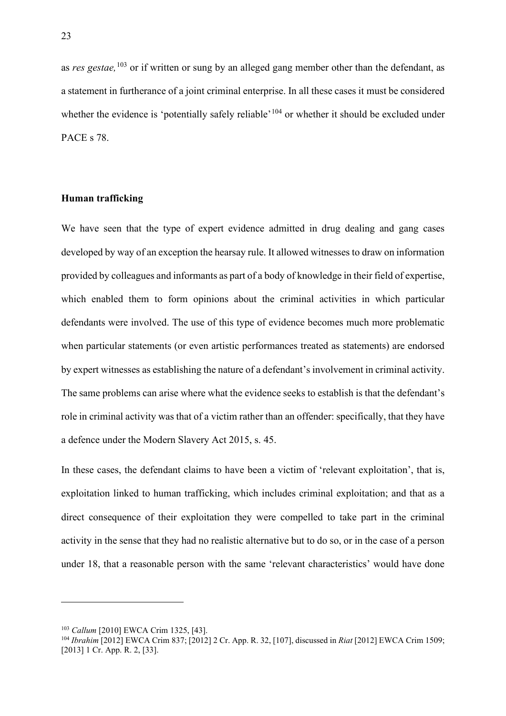as *res gestae,*[103](#page-23-0) or if written or sung by an alleged gang member other than the defendant, as a statement in furtherance of a joint criminal enterprise. In all these cases it must be considered whether the evidence is 'potentially safely reliable'<sup>[104](#page-23-1)</sup> or whether it should be excluded under PACE s 78.

#### **Human trafficking**

We have seen that the type of expert evidence admitted in drug dealing and gang cases developed by way of an exception the hearsay rule. It allowed witnesses to draw on information provided by colleagues and informants as part of a body of knowledge in their field of expertise, which enabled them to form opinions about the criminal activities in which particular defendants were involved. The use of this type of evidence becomes much more problematic when particular statements (or even artistic performances treated as statements) are endorsed by expert witnesses as establishing the nature of a defendant's involvement in criminal activity. The same problems can arise where what the evidence seeks to establish is that the defendant's role in criminal activity was that of a victim rather than an offender: specifically, that they have a defence under the Modern Slavery Act 2015, s. 45.

In these cases, the defendant claims to have been a victim of 'relevant exploitation', that is, exploitation linked to human trafficking, which includes criminal exploitation; and that as a direct consequence of their exploitation they were compelled to take part in the criminal activity in the sense that they had no realistic alternative but to do so, or in the case of a person under 18, that a reasonable person with the same 'relevant characteristics' would have done

<span id="page-23-0"></span><sup>103</sup> *Callum* [2010] EWCA Crim 1325, [43].

<span id="page-23-1"></span><sup>104</sup> *Ibrahim* [2012] EWCA Crim 837; [2012] 2 Cr. App. R. 32, [107], discussed in *Riat* [2012] EWCA Crim 1509; [2013] 1 Cr. App. R. 2, [33].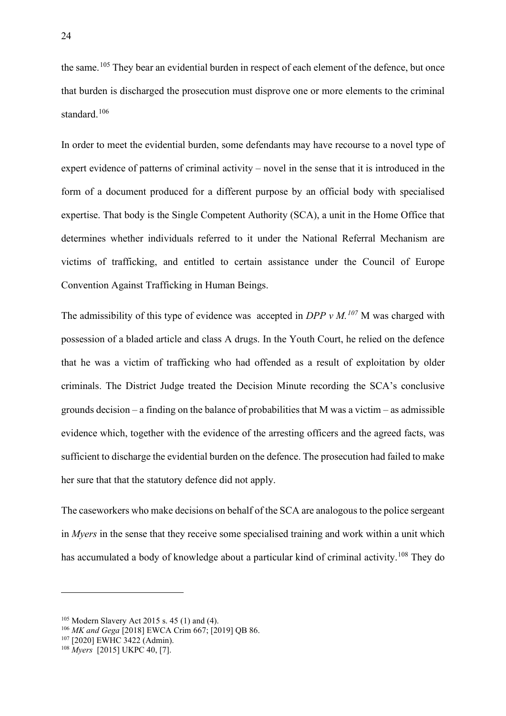the same.<sup>[105](#page-24-0)</sup> They bear an evidential burden in respect of each element of the defence, but once that burden is discharged the prosecution must disprove one or more elements to the criminal standard.<sup>[106](#page-24-1)</sup>

In order to meet the evidential burden, some defendants may have recourse to a novel type of expert evidence of patterns of criminal activity – novel in the sense that it is introduced in the form of a document produced for a different purpose by an official body with specialised expertise. That body is the Single Competent Authority (SCA), a unit in the Home Office that determines whether individuals referred to it under the National Referral Mechanism are victims of trafficking, and entitled to certain assistance under the Council of Europe Convention Against Trafficking in Human Beings.

The admissibility of this type of evidence was accepted in *DPP v M. [107](#page-24-2)* M was charged with possession of a bladed article and class A drugs. In the Youth Court, he relied on the defence that he was a victim of trafficking who had offended as a result of exploitation by older criminals. The District Judge treated the Decision Minute recording the SCA's conclusive grounds decision – a finding on the balance of probabilities that M was a victim – as admissible evidence which, together with the evidence of the arresting officers and the agreed facts, was sufficient to discharge the evidential burden on the defence. The prosecution had failed to make her sure that that the statutory defence did not apply.

The caseworkers who make decisions on behalf of the SCA are analogous to the police sergeant in *Myers* in the sense that they receive some specialised training and work within a unit which has accumulated a body of knowledge about a particular kind of criminal activity.<sup>[108](#page-24-3)</sup> They do

<span id="page-24-0"></span><sup>105</sup> Modern Slavery Act 2015 s. 45 (1) and (4).

<span id="page-24-1"></span><sup>106</sup> *MK and Gega* [2018] EWCA Crim 667; [2019] QB 86.

<span id="page-24-2"></span><sup>107</sup> [2020] EWHC 3422 (Admin).

<span id="page-24-3"></span><sup>108</sup> *Myers* [2015] UKPC 40, [7].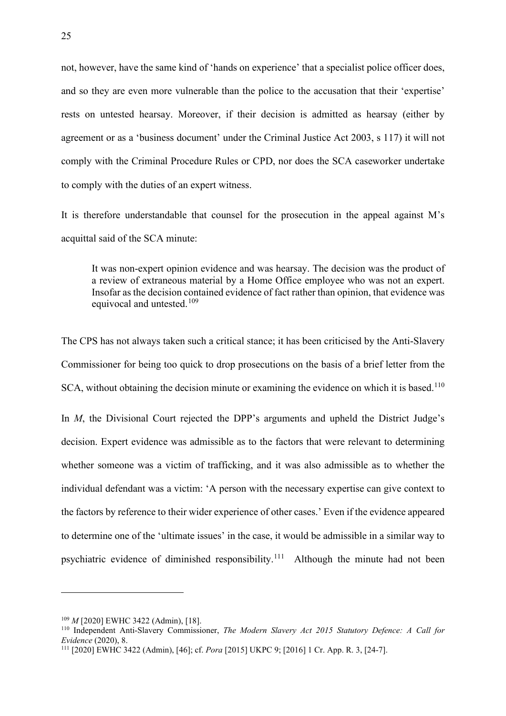not, however, have the same kind of 'hands on experience' that a specialist police officer does, and so they are even more vulnerable than the police to the accusation that their 'expertise' rests on untested hearsay. Moreover, if their decision is admitted as hearsay (either by agreement or as a 'business document' under the Criminal Justice Act 2003, s 117) it will not comply with the Criminal Procedure Rules or CPD, nor does the SCA caseworker undertake to comply with the duties of an expert witness.

It is therefore understandable that counsel for the prosecution in the appeal against M's acquittal said of the SCA minute:

It was non-expert opinion evidence and was hearsay. The decision was the product of a review of extraneous material by a Home Office employee who was not an expert. Insofar as the decision contained evidence of fact rather than opinion, that evidence was equivocal and untested.<sup>[109](#page-25-0)</sup>

The CPS has not always taken such a critical stance; it has been criticised by the Anti-Slavery Commissioner for being too quick to drop prosecutions on the basis of a brief letter from the SCA, without obtaining the decision minute or examining the evidence on which it is based.<sup>[110](#page-25-1)</sup> In *M*, the Divisional Court rejected the DPP's arguments and upheld the District Judge's decision. Expert evidence was admissible as to the factors that were relevant to determining whether someone was a victim of trafficking, and it was also admissible as to whether the individual defendant was a victim: 'A person with the necessary expertise can give context to the factors by reference to their wider experience of other cases.' Even if the evidence appeared to determine one of the 'ultimate issues' in the case, it would be admissible in a similar way to

psychiatric evidence of diminished responsibility.<sup>[111](#page-25-2)</sup> Although the minute had not been

<span id="page-25-0"></span><sup>109</sup> *M* [2020] EWHC 3422 (Admin), [18].

<span id="page-25-1"></span><sup>110</sup> Independent Anti-Slavery Commissioner, *The Modern Slavery Act 2015 Statutory Defence: A Call for Evidence* (2020), 8.

<span id="page-25-2"></span><sup>111</sup> [2020] EWHC 3422 (Admin), [46]; cf. *Pora* [2015] UKPC 9; [2016] 1 Cr. App. R. 3, [24-7].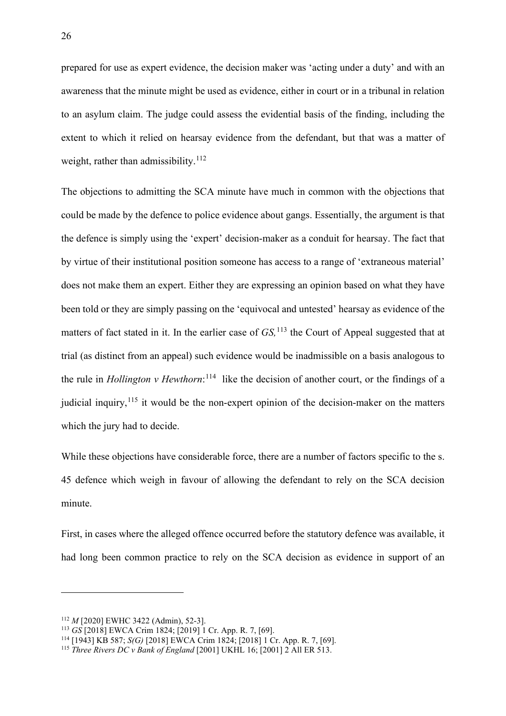prepared for use as expert evidence, the decision maker was 'acting under a duty' and with an awareness that the minute might be used as evidence, either in court or in a tribunal in relation to an asylum claim. The judge could assess the evidential basis of the finding, including the extent to which it relied on hearsay evidence from the defendant, but that was a matter of weight, rather than admissibility. $112$ 

The objections to admitting the SCA minute have much in common with the objections that could be made by the defence to police evidence about gangs. Essentially, the argument is that the defence is simply using the 'expert' decision-maker as a conduit for hearsay. The fact that by virtue of their institutional position someone has access to a range of 'extraneous material' does not make them an expert. Either they are expressing an opinion based on what they have been told or they are simply passing on the 'equivocal and untested' hearsay as evidence of the matters of fact stated in it. In the earlier case of *GS,* [113](#page-26-1) the Court of Appeal suggested that at trial (as distinct from an appeal) such evidence would be inadmissible on a basis analogous to the rule in *Hollington v Hewthorn*: [114](#page-26-2) like the decision of another court, or the findings of a judicial inquiry, $115$  it would be the non-expert opinion of the decision-maker on the matters which the jury had to decide.

While these objections have considerable force, there are a number of factors specific to the s. 45 defence which weigh in favour of allowing the defendant to rely on the SCA decision minute.

First, in cases where the alleged offence occurred before the statutory defence was available, it had long been common practice to rely on the SCA decision as evidence in support of an

<span id="page-26-0"></span><sup>112</sup> *M* [2020] EWHC 3422 (Admin), 52-3].

<span id="page-26-1"></span><sup>113</sup> *GS* [2018] EWCA Crim 1824; [2019] 1 Cr. App. R. 7, [69].

<span id="page-26-2"></span><sup>114</sup> [1943] KB 587; *S(G)* [2018] EWCA Crim 1824; [2018] 1 Cr. App. R. 7, [69].

<span id="page-26-3"></span><sup>115</sup> *Three Rivers DC v Bank of England* [2001] UKHL 16; [2001] 2 All ER 513.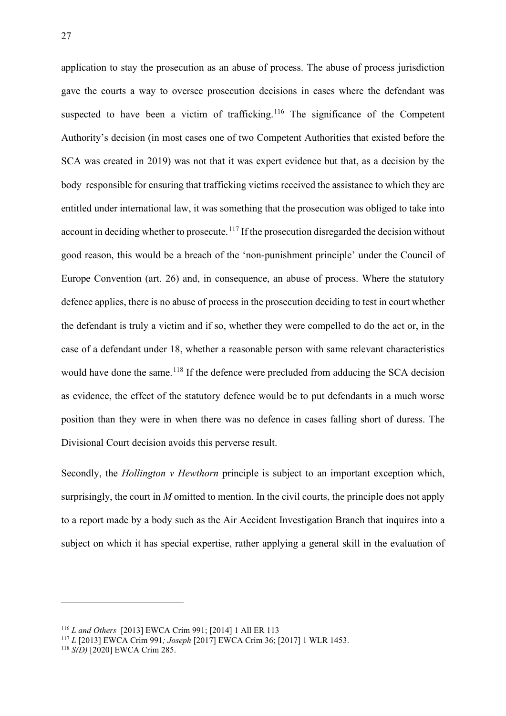application to stay the prosecution as an abuse of process. The abuse of process jurisdiction gave the courts a way to oversee prosecution decisions in cases where the defendant was suspected to have been a victim of trafficking.<sup>[116](#page-27-0)</sup> The significance of the Competent Authority's decision (in most cases one of two Competent Authorities that existed before the SCA was created in 2019) was not that it was expert evidence but that, as a decision by the body responsible for ensuring that trafficking victims received the assistance to which they are entitled under international law, it was something that the prosecution was obliged to take into account in deciding whether to prosecute.<sup>[117](#page-27-1)</sup> If the prosecution disregarded the decision without good reason, this would be a breach of the 'non-punishment principle' under the Council of Europe Convention (art. 26) and, in consequence, an abuse of process. Where the statutory defence applies, there is no abuse of process in the prosecution deciding to test in court whether the defendant is truly a victim and if so, whether they were compelled to do the act or, in the case of a defendant under 18, whether a reasonable person with same relevant characteristics would have done the same.<sup>[118](#page-27-2)</sup> If the defence were precluded from adducing the SCA decision as evidence, the effect of the statutory defence would be to put defendants in a much worse position than they were in when there was no defence in cases falling short of duress. The Divisional Court decision avoids this perverse result.

Secondly, the *Hollington v Hewthorn* principle is subject to an important exception which, surprisingly, the court in *M* omitted to mention. In the civil courts, the principle does not apply to a report made by a body such as the Air Accident Investigation Branch that inquires into a subject on which it has special expertise, rather applying a general skill in the evaluation of

<span id="page-27-0"></span><sup>116</sup> *L and Others* [2013] EWCA Crim 991; [2014] 1 All ER 113

<span id="page-27-1"></span><sup>117</sup> *L* [2013] EWCA Crim 991*; Joseph* [2017] EWCA Crim 36; [2017] 1 WLR 1453.

<span id="page-27-2"></span><sup>118</sup> *S(D)* [2020] EWCA Crim 285.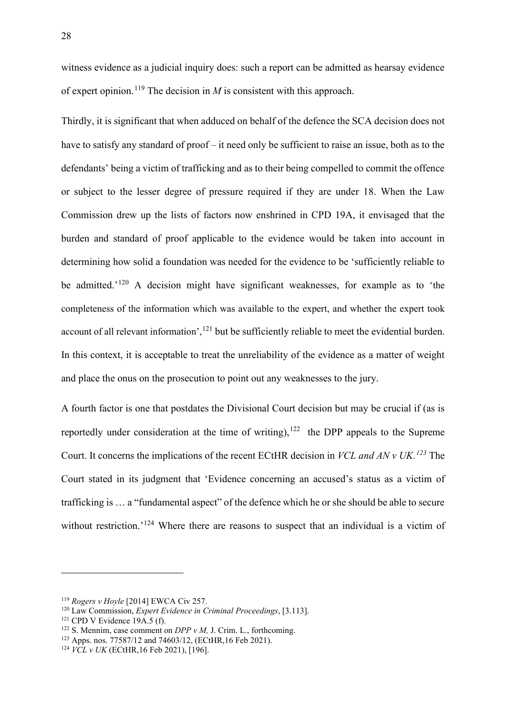witness evidence as a judicial inquiry does: such a report can be admitted as hearsay evidence of expert opinion.<sup>[119](#page-28-0)</sup> The decision in  $M$  is consistent with this approach.

Thirdly, it is significant that when adduced on behalf of the defence the SCA decision does not have to satisfy any standard of proof – it need only be sufficient to raise an issue, both as to the defendants' being a victim of trafficking and as to their being compelled to commit the offence or subject to the lesser degree of pressure required if they are under 18. When the Law Commission drew up the lists of factors now enshrined in CPD 19A, it envisaged that the burden and standard of proof applicable to the evidence would be taken into account in determining how solid a foundation was needed for the evidence to be 'sufficiently reliable to be admitted.<sup>'[120](#page-28-1)</sup> A decision might have significant weaknesses, for example as to 'the completeness of the information which was available to the expert, and whether the expert took account of all relevant information',<sup>[121](#page-28-2)</sup> but be sufficiently reliable to meet the evidential burden. In this context, it is acceptable to treat the unreliability of the evidence as a matter of weight and place the onus on the prosecution to point out any weaknesses to the jury.

A fourth factor is one that postdates the Divisional Court decision but may be crucial if (as is reportedly under consideration at the time of writing),  $122$  the DPP appeals to the Supreme Court. It concerns the implications of the recent ECtHR decision in *VCL and AN v UK. [123](#page-28-4)* The Court stated in its judgment that 'Evidence concerning an accused's status as a victim of trafficking is … a "fundamental aspect" of the defence which he or she should be able to secure without restriction.<sup>'[124](#page-28-5)</sup> Where there are reasons to suspect that an individual is a victim of

<span id="page-28-0"></span><sup>119</sup> *Rogers v Hoyle* [2014] EWCA Civ 257.

<span id="page-28-1"></span><sup>120</sup> Law Commission, *Expert Evidence in Criminal Proceedings*, [3.113].

<span id="page-28-2"></span> $121$  CPD V Evidence 19A.5 (f).

<span id="page-28-3"></span><sup>122</sup> S. Mennim, case comment on *DPP v M,* J. Crim. L., forthcoming.

<span id="page-28-4"></span><sup>123</sup> Apps. nos. 77587/12 and 74603/12, (ECtHR,16 Feb 2021).

<span id="page-28-5"></span><sup>124</sup> *VCL v UK* (ECtHR,16 Feb 2021), [196].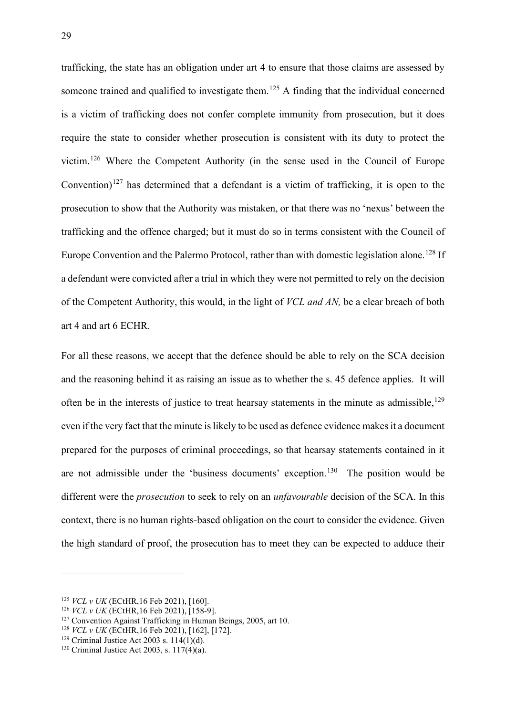trafficking, the state has an obligation under art 4 to ensure that those claims are assessed by someone trained and qualified to investigate them.<sup>[125](#page-29-0)</sup> A finding that the individual concerned is a victim of trafficking does not confer complete immunity from prosecution, but it does require the state to consider whether prosecution is consistent with its duty to protect the victim.[126](#page-29-1) Where the Competent Authority (in the sense used in the Council of Europe Convention)<sup>[127](#page-29-2)</sup> has determined that a defendant is a victim of trafficking, it is open to the prosecution to show that the Authority was mistaken, or that there was no 'nexus' between the trafficking and the offence charged; but it must do so in terms consistent with the Council of Europe Convention and the Palermo Protocol, rather than with domestic legislation alone.<sup>[128](#page-29-3)</sup> If a defendant were convicted after a trial in which they were not permitted to rely on the decision of the Competent Authority, this would, in the light of *VCL and AN,* be a clear breach of both art 4 and art 6 ECHR.

For all these reasons, we accept that the defence should be able to rely on the SCA decision and the reasoning behind it as raising an issue as to whether the s. 45 defence applies. It will often be in the interests of justice to treat hearsay statements in the minute as admissible,  $129$ even if the very fact that the minute is likely to be used as defence evidence makes it a document prepared for the purposes of criminal proceedings, so that hearsay statements contained in it are not admissible under the 'business documents' exception.[130](#page-29-5) The position would be different were the *prosecution* to seek to rely on an *unfavourable* decision of the SCA. In this context, there is no human rights-based obligation on the court to consider the evidence. Given the high standard of proof, the prosecution has to meet they can be expected to adduce their

<span id="page-29-0"></span><sup>125</sup> *VCL v UK* (ECtHR,16 Feb 2021), [160].

<span id="page-29-1"></span><sup>126</sup> *VCL v UK* (ECtHR,16 Feb 2021), [158-9].

<span id="page-29-2"></span><sup>&</sup>lt;sup>127</sup> Convention Against Trafficking in Human Beings, 2005, art 10.

<span id="page-29-3"></span><sup>&</sup>lt;sup>128</sup> *VCL v UK* (ECtHR, 16 Feb 2021), [162], [172].<br><sup>129</sup> Criminal Justice Act 2003 s. 114(1)(d).

<span id="page-29-4"></span>

<span id="page-29-5"></span><sup>&</sup>lt;sup>130</sup> Criminal Justice Act 2003, s.  $117(4)(a)$ .